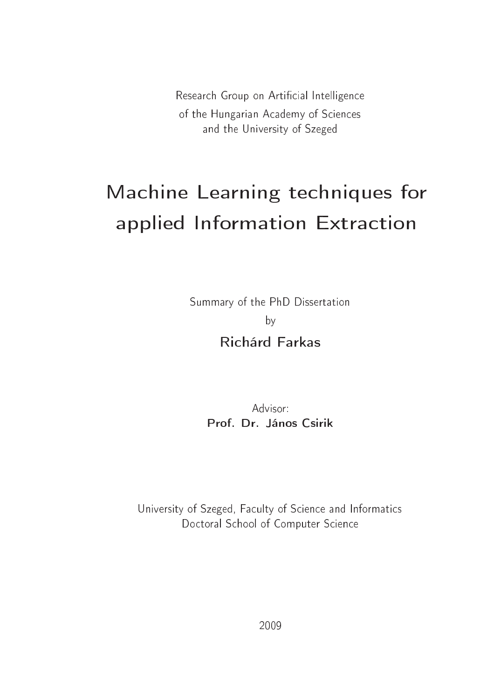Research Group on Artificial Intelligence of the Hungarian Academy of Sciences and the University of Szeged

# Machine Learning techniques for applied Information Extraction

Summary of the PhD Dissertation by **Richárd Farkas** 

> Advisor Prof. Dr. János Csirik

University of Szeged, Faculty of Science and Informatics Doctoral School of Computer Science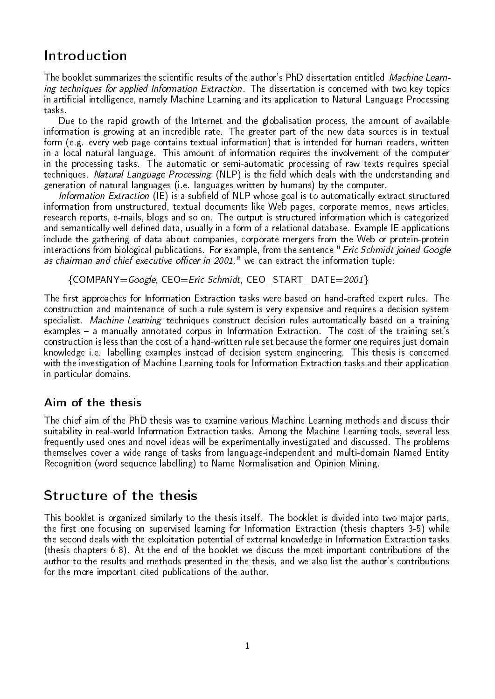## Introduction

The booklet summarizes the scientific results of the author's PhD dissertation entitled Machine Learning techniques for applied Information Extraction. The dissertation is concerned with two key topics in articial intelligence, namely Machine Learning and its application to Natural Language Processing tasks.

Due to the rapid growth of the Internet and the globalisation process, the amount of available information is growing at an incredible rate. The greater part of the new data sources is in textual form (e.g. every web page contains textual information) that is intended for human readers, written in a local natural language. This amount of information requires the involvement of the computer in the processing tasks. The automatic or semi-automatic processing of raw texts requires special techniques. Natural Language Processing (NLP) is the field which deals with the understanding and generation of natural languages (i.e. languages written by humans) by the computer.

Information Extraction (IE) is a subfield of NLP whose goal is to automatically extract structured information from unstructured, textual documents like Web pages, corporate memos, news articles, research reports, e-mails, blogs and so on. The output is structured information which is categorized and semantically well-defined data, usually in a form of a relational database. Example IE applications include the gathering of data about companies, corporate mergers from the Web or protein-protein interactions from biological publications. For example, from the sentence "*Eric Schmidt joined Google* as chairman and chief executive officer in 2001." we can extract the information tuple:

{COMPANY=Google, CEO=Eric Schmidt, CEO\_START\_DATE=2001 }

The first approaches for Information Extraction tasks were based on hand-crafted expert rules. The construction and maintenance of such a rule system is very expensive and requires a decision system specialist. Machine Learning techniques construct decision rules automatically based on a training examples - a manually annotated corpus in Information Extraction. The cost of the training set's construction is less than the cost of a hand-written rule set because the former one requires just domain knowledge i.e. labelling examples instead of decision system engineering. This thesis is concerned with the investigation of Machine Learning tools for Information Extraction tasks and their application in particular domains.

#### Aim of the thesis

The chief aim of the PhD thesis was to examine various Machine Learning methods and discuss their suitability in real-world Information Extraction tasks. Among the Machine Learning tools, several less frequently used ones and novel ideas will be experimentally investigated and discussed. The problems themselves cover a wide range of tasks from language-independent and multi-domain Named Entity Recognition (word sequence labelling) to Name Normalisation and Opinion Mining.

## Structure of the thesis

This booklet is organized similarly to the thesis itself. The booklet is divided into two major parts, the first one focusing on supervised learning for Information Extraction (thesis chapters 3-5) while the second deals with the exploitation potential of external knowledge in Information Extraction tasks (thesis chapters 6-8). At the end of the booklet we discuss the most important contributions of the author to the results and methods presented in the thesis, and we also list the author's contributions for the more important cited publications of the author.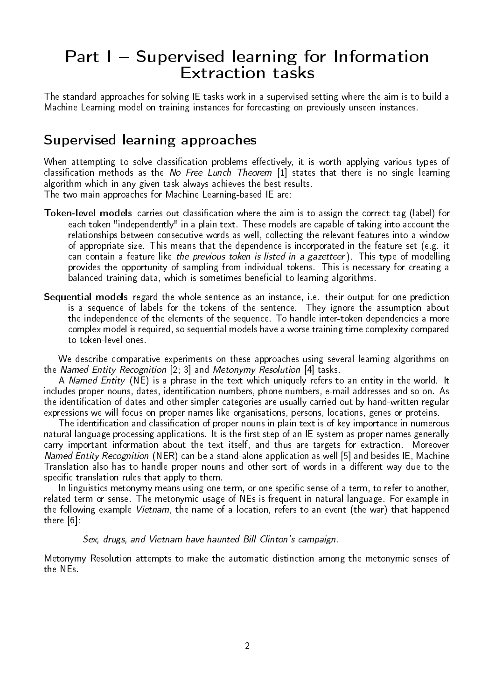# Part I - Supervised learning for Information Extraction tasks

The standard approaches for solving IE tasks work in a supervised setting where the aim is to build a Machine Learning model on training instances for forecasting on previously unseen instances.

## Supervised learning approaches

When attempting to solve classification problems effectively, it is worth applying various types of classification methods as the No Free Lunch Theorem  $[1]$  states that there is no single learning algorithm which in any given task always achieves the best results.

The two main approaches for Machine Learning-based IE are:

- Token-level models carries out classification where the aim is to assign the correct tag (label) for each token "independently" in a plain text. These models are capable of taking into account the relationships between consecutive words as well, collecting the relevant features into a window of appropriate size. This means that the dependence is incorporated in the feature set (e.g. it can contain a feature like *the previous token is listed in a gazetteer*). This type of modelling provides the opportunity of sampling from individual tokens. This is necessary for creating a balanced training data, which is sometimes beneficial to learning algorithms.
- Sequential models regard the whole sentence as an instance, i.e. their output for one prediction is a sequence of labels for the tokens of the sentence. They ignore the assumption about the independence of the elements of the sequence. To handle inter-token dependencies a more complex model is required, so sequential models have a worse training time complexity compared to token-level ones.

We describe comparative experiments on these approaches using several learning algorithms on the Named Entity Recognition [2; 3] and Metonymy Resolution [4] tasks.

A Named Entity (NE) is a phrase in the text which uniquely refers to an entity in the world. It includes proper nouns, dates, identification numbers, phone numbers, e-mail addresses and so on. As the identication of dates and other simpler categories are usually carried out by hand-written regular expressions we will focus on proper names like organisations, persons, locations, genes or proteins.

The identification and classification of proper nouns in plain text is of key importance in numerous natural language processing applications. It is the first step of an IE system as proper names generally carry important information about the text itself, and thus are targets for extraction. Moreover Named Entity Recognition (NER) can be a stand-alone application as well [5] and besides IE, Machine Translation also has to handle proper nouns and other sort of words in a different way due to the specific translation rules that apply to them.

In linguistics metonymy means using one term, or one specific sense of a term, to refer to another, related term or sense. The metonymic usage of NEs is frequent in natural language. For example in the following example Vietnam, the name of a location, refers to an event (the war) that happened there [6]:

Sex, drugs, and Vietnam have haunted Bill Clinton's campaign.

Metonymy Resolution attempts to make the automatic distinction among the metonymic senses of the NEs.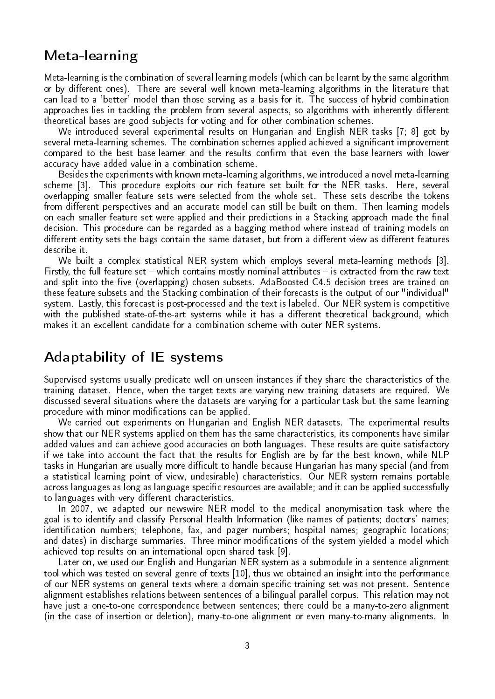## Meta-learning

Meta-learning is the combination of several learning models (which can be learnt by the same algorithm or by different ones). There are several well known meta-learning algorithms in the literature that can lead to a 'better' model than those serving as a basis for it. The success of hybrid combination approaches lies in tackling the problem from several aspects, so algorithms with inherently different theoretical bases are good subjects for voting and for other combination schemes.

We introduced several experimental results on Hungarian and English NER tasks [7; 8] got by several meta-learning schemes. The combination schemes applied achieved a significant improvement compared to the best base-learner and the results confirm that even the base-learners with lower accuracy have added value in a combination scheme.

Besides the experiments with known meta-learning algorithms, we introduced a novel meta-learning scheme [3]. This procedure exploits our rich feature set built for the NER tasks. Here, several overlapping smaller feature sets were selected from the whole set. These sets describe the tokens from different perspectives and an accurate model can still be built on them. Then learning models on each smaller feature set were applied and their predictions in a Stacking approach made the final decision. This procedure can be regarded as a bagging method where instead of training models on different entity sets the bags contain the same dataset, but from a different view as different features describe it.

We built a complex statistical NER system which employs several meta-learning methods [3]. Firstly, the full feature set  $-$  which contains mostly nominal attributes  $-$  is extracted from the raw text and split into the five (overlapping) chosen subsets. AdaBoosted C4.5 decision trees are trained on these feature subsets and the Stacking combination of their forecasts is the output of our "individual" system. Lastly, this forecast is post-processed and the text is labeled. Our NER system is competitive with the published state-of-the-art systems while it has a different theoretical background, which makes it an excellent candidate for a combination scheme with outer NER systems.

### Adaptability of IE systems

Supervised systems usually predicate well on unseen instances if they share the characteristics of the training dataset. Hence, when the target texts are varying new training datasets are required. We discussed several situations where the datasets are varying for a particular task but the same learning procedure with minor modifications can be applied.

We carried out experiments on Hungarian and English NER datasets. The experimental results show that our NER systems applied on them has the same characteristics, its components have similar added values and can achieve good accuracies on both languages. These results are quite satisfactory if we take into account the fact that the results for English are by far the best known, while NLP tasks in Hungarian are usually more difficult to handle because Hungarian has many special (and from a statistical learning point of view, undesirable) characteristics. Our NER system remains portable across languages as long as language specific resources are available; and it can be applied successfully to languages with very different characteristics.

In 2007, we adapted our newswire NER model to the medical anonymisation task where the goal is to identify and classify Personal Health Information (like names of patients; doctors' names; identification numbers; telephone, fax, and pager numbers; hospital names; geographic locations; and dates) in discharge summaries. Three minor modifications of the system yielded a model which achieved top results on an international open shared task [9].

Later on, we used our English and Hungarian NER system as a submodule in a sentence alignment tool which was tested on several genre of texts [10], thus we obtained an insight into the performance of our NER systems on general texts where a domain-specific training set was not present. Sentence alignment establishes relations between sentences of a bilingual parallel corpus. This relation may not have just a one-to-one correspondence between sentences; there could be a many-to-zero alignment (in the case of insertion or deletion), many-to-one alignment or even many-to-many alignments. In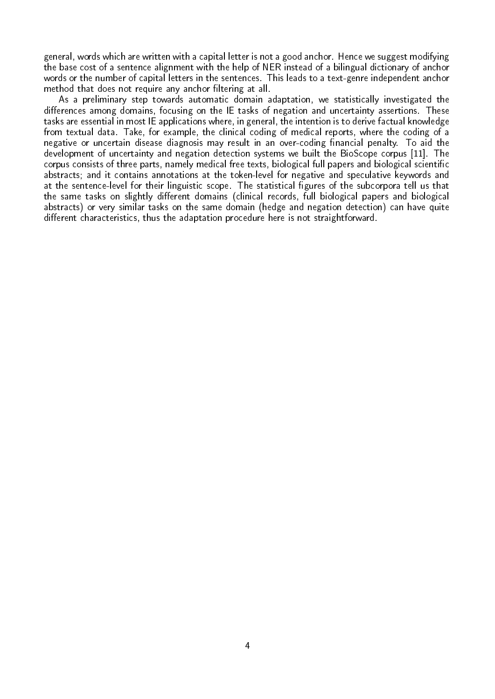general, words which are written with a capital letter is not a good anchor. Hence we suggest modifying the base cost of a sentence alignment with the help of NER instead of a bilingual dictionary of anchor words or the number of capital letters in the sentences. This leads to a text-genre independent anchor method that does not require any anchor filtering at all.

As a preliminary step towards automatic domain adaptation, we statistically investigated the differences among domains, focusing on the IE tasks of negation and uncertainty assertions. These tasks are essential in most IE applications where, in general, the intention is to derive factual knowledge from textual data. Take, for example, the clinical coding of medical reports, where the coding of a negative or uncertain disease diagnosis may result in an over-coding financial penalty. To aid the development of uncertainty and negation detection systems we built the BioScope corpus [11]. The corpus consists of three parts, namely medical free texts, biological full papers and biological scientific abstracts; and it contains annotations at the token-level for negative and speculative keywords and at the sentence-level for their linguistic scope. The statistical figures of the subcorpora tell us that the same tasks on slightly different domains (clinical records, full biological papers and biological abstracts) or very similar tasks on the same domain (hedge and negation detection) can have quite different characteristics, thus the adaptation procedure here is not straightforward.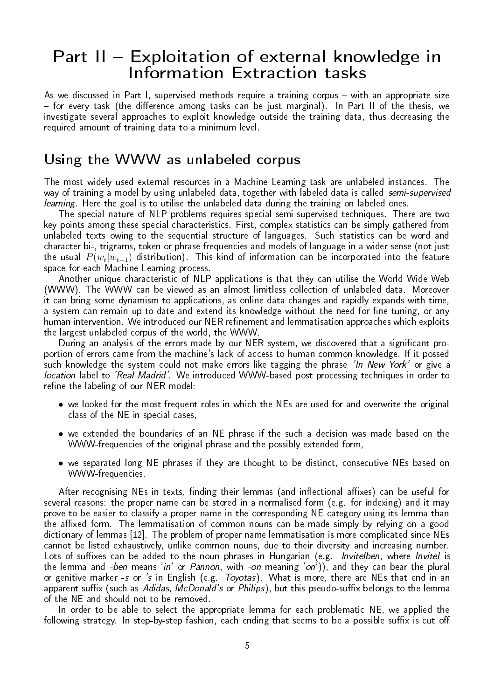## Part II - Exploitation of external knowledge in Information Extraction tasks

As we discussed in Part I, supervised methods require a training corpus - with an appropriate size  $f$  for every task (the difference among tasks can be just marginal). In Part II of the thesis, we investigate several approaches to exploit knowledge outside the training data, thus decreasing the required amount of training data to a minimum level.

#### Using the WWW as unlabeled corpus

The most widely used external resources in a Machine Learning task are unlabeled instances. The way of training a model by using unlabeled data, together with labeled data is called semi-supervised learning. Here the goal is to utilise the unlabeled data during the training on labeled ones.

The special nature of NLP problems requires special semi-supervised techniques. There are two key points among these special characteristics. First, complex statistics can be simply gathered from unlabeled texts owing to the sequential structure of languages. Such statistics can be word and character bi-, trigrams, token or phrase frequencies and models of language in a wider sense (not just the usual  $P(w_t|w_{t-1})$  distribution). This kind of information can be incorporated into the feature space for each Machine Learning process.

Another unique characteristic of NLP applications is that they can utilise the World Wide Web (WWW). The WWW can be viewed as an almost limitless collection of unlabeled data. Moreover it can bring some dynamism to applications, as online data changes and rapidly expands with time, a system can remain up-to-date and extend its knowledge without the need for fine tuning, or any human intervention. We introduced our NER refinement and lemmatisation approaches which exploits the largest unlabeled corpus of the world, the WWW.

During an analysis of the errors made by our NER system, we discovered that a significant proportion of errors came from the machine's lack of access to human common knowledge. If it possed such knowledge the system could not make errors like tagging the phrase *'In New York'* or give a location label to 'Real Madrid'. We introduced WWW-based post processing techniques in order to refine the labeling of our NER model:

- we looked for the most frequent roles in which the NEs are used for and overwrite the original class of the NE in special cases,
- we extended the boundaries of an NE phrase if the such a decision was made based on the WWW-frequencies of the original phrase and the possibly extended form,
- we separated long NE phrases if they are thought to be distinct, consecutive NEs based on WWW-frequencies.

After recognising NEs in texts, finding their lemmas (and inflectional affixes) can be useful for several reasons: the proper name can be stored in a normalised form (e.g. for indexing) and it may prove to be easier to classify a proper name in the corresponding NE category using its lemma than the affixed form. The lemmatisation of common nouns can be made simply by relying on a good dictionary of lemmas [12]. The problem of proper name lemmatisation is more complicated since NEs cannot be listed exhaustively, unlike common nouns, due to their diversity and increasing number. Lots of suffixes can be added to the noun phrases in Hungarian (e.g. Invitelben, where Invitel is the lemma and -ben means 'in' or Pannon, with -on meaning 'on'), and they can bear the plural or genitive marker -s or 's in English (e.g. *Toyotas*). What is more, there are NEs that end in an apparent suffix (such as Adidas, McDonald's or Philips), but this pseudo-suffix belongs to the lemma of the NE and should not to be removed.

In order to be able to select the appropriate lemma for each problematic NE, we applied the following strategy. In step-by-step fashion, each ending that seems to be a possible suffix is cut off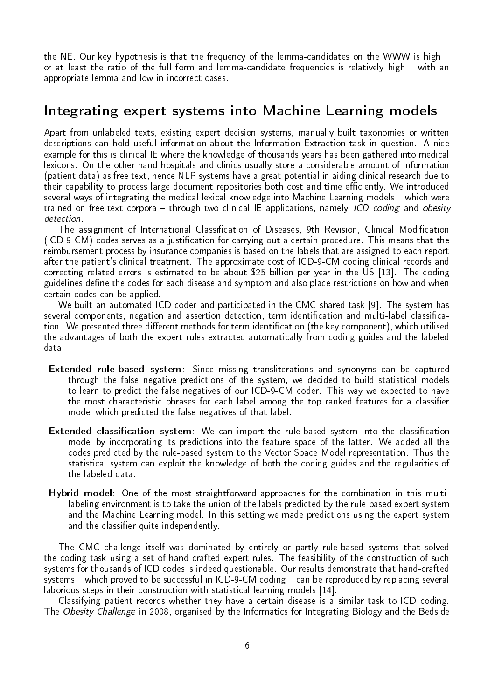the NE. Our key hypothesis is that the frequency of the lemma-candidates on the WWW is high or at least the ratio of the full form and lemma-candidate frequencies is relatively high - with an appropriate lemma and low in incorrect cases.

#### Integrating expert systems into Machine Learning models

Apart from unlabeled texts, existing expert decision systems, manually built taxonomies or written descriptions can hold useful information about the Information Extraction task in question. A nice example for this is clinical IE where the knowledge of thousands years has been gathered into medical lexicons. On the other hand hospitals and clinics usually store a considerable amount of information (patient data) as free text, hence NLP systems have a great potential in aiding clinical research due to their capability to process large document repositories both cost and time efficiently. We introduced several ways of integrating the medical lexical knowledge into Machine Learning models – which were trained on free-text corpora – through two clinical IE applications, namely *ICD coding* and obesity detection.

The assignment of International Classification of Diseases, 9th Revision, Clinical Modification (ICD-9-CM) codes serves as a justication for carrying out a certain procedure. This means that the reimbursement process by insurance companies is based on the labels that are assigned to each report after the patient's clinical treatment. The approximate cost of ICD-9-CM coding clinical records and correcting related errors is estimated to be about \$25 billion per year in the US [13]. The coding guidelines define the codes for each disease and symptom and also place restrictions on how and when certain codes can be applied.

We built an automated ICD coder and participated in the CMC shared task [9]. The system has several components; negation and assertion detection, term identification and multi-label classification. We presented three different methods for term identification (the key component), which utilised the advantages of both the expert rules extracted automatically from coding guides and the labeled data:

- Extended rule-based system: Since missing transliterations and synonyms can be captured through the false negative predictions of the system, we decided to build statistical models to learn to predict the false negatives of our ICD-9-CM coder. This way we expected to have the most characteristic phrases for each label among the top ranked features for a classifier model which predicted the false negatives of that label.
- Extended classification system: We can import the rule-based system into the classification model by incorporating its predictions into the feature space of the latter. We added all the codes predicted by the rule-based system to the Vector Space Model representation. Thus the statistical system can exploit the knowledge of both the coding guides and the regularities of the labeled data.
- Hybrid model: One of the most straightforward approaches for the combination in this multilabeling environment is to take the union of the labels predicted by the rule-based expert system and the Machine Learning model. In this setting we made predictions using the expert system and the classifier quite independently.

The CMC challenge itself was dominated by entirely or partly rule-based systems that solved the coding task using a set of hand crafted expert rules. The feasibility of the construction of such systems for thousands of ICD codes is indeed questionable. Our results demonstrate that hand-crafted systems  $-$  which proved to be successful in ICD-9-CM coding  $-$  can be reproduced by replacing several laborious steps in their construction with statistical learning models [14].

Classifying patient records whether they have a certain disease is a similar task to ICD coding. The Obesity Challenge in 2008, organised by the Informatics for Integrating Biology and the Bedside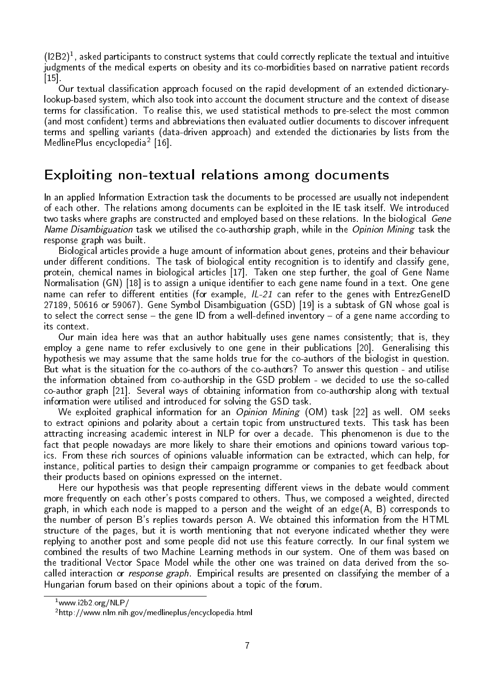$(12B2)^1$ , asked participants to construct systems that could correctly replicate the textual and intuitive judgments of the medical experts on obesity and its co-morbidities based on narrative patient records  $|15|$ 

Our textual classification approach focused on the rapid development of an extended dictionarylookup-based system, which also took into account the document structure and the context of disease terms for classification. To realise this, we used statistical methods to pre-select the most common (and most confident) terms and abbreviations then evaluated outlier documents to discover infrequent terms and spelling variants (data-driven approach) and extended the dictionaries by lists from the MedlinePlus encyclopedia<sup>2</sup> [16].

## Exploiting non-textual relations among documents

In an applied Information Extraction task the documents to be processed are usually not independent of each other. The relations among documents can be exploited in the IE task itself. We introduced two tasks where graphs are constructed and employed based on these relations. In the biological Gene Name Disambiguation task we utilised the co-authorship graph, while in the Opinion Mining task the response graph was built.

Biological articles provide a huge amount of information about genes, proteins and their behaviour under different conditions. The task of biological entity recognition is to identify and classify gene, protein, chemical names in biological articles [17]. Taken one step further, the goal of Gene Name Normalisation (GN) [18] is to assign a unique identifier to each gene name found in a text. One gene name can refer to different entities (for example,  $IL-21$  can refer to the genes with EntrezGeneID 27189, 50616 or 59067). Gene Symbol Disambiguation (GSD) [19] is a subtask of GN whose goal is to select the correct sense – the gene ID from a well-defined inventory – of a gene name according to its context.

Our main idea here was that an author habitually uses gene names consistently; that is, they employ a gene name to refer exclusively to one gene in their publications [20]. Generalising this hypothesis we may assume that the same holds true for the co-authors of the biologist in question. But what is the situation for the co-authors of the co-authors? To answer this question - and utilise the information obtained from co-authorship in the GSD problem - we decided to use the so-called co-author graph [21]. Several ways of obtaining information from co-authorship along with textual information were utilised and introduced for solving the GSD task.

We exploited graphical information for an *Opinion Mining* (OM) task [22] as well. OM seeks to extract opinions and polarity about a certain topic from unstructured texts. This task has been attracting increasing academic interest in NLP for over a decade. This phenomenon is due to the fact that people nowadays are more likely to share their emotions and opinions toward various topics. From these rich sources of opinions valuable information can be extracted, which can help, for instance, political parties to design their campaign programme or companies to get feedback about their products based on opinions expressed on the internet.

Here our hypothesis was that people representing different views in the debate would comment more frequently on each other's posts compared to others. Thus, we composed a weighted, directed graph, in which each node is mapped to a person and the weight of an edge(A, B) corresponds to the number of person B's replies towards person A. We obtained this information from the HTML structure of the pages, but it is worth mentioning that not everyone indicated whether they were replying to another post and some people did not use this feature correctly. In our final system we combined the results of two Machine Learning methods in our system. One of them was based on the traditional Vector Space Model while the other one was trained on data derived from the socalled interaction or *response graph*. Empirical results are presented on classifying the member of a Hungarian forum based on their opinions about a topic of the forum.

 $1$ www.i2b2.org/NLP/

<sup>2</sup>http://www.nlm.nih.gov/medlineplus/encyclopedia.html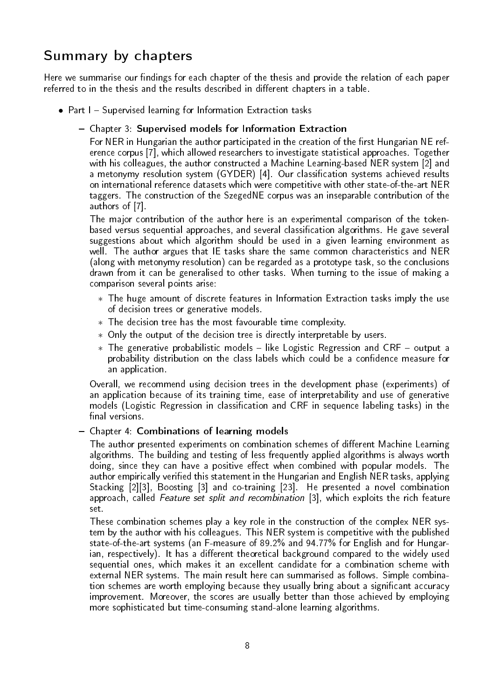# Summary by chapters

Here we summarise our findings for each chapter of the thesis and provide the relation of each paper referred to in the thesis and the results described in different chapters in a table.

- Part I Supervised learning for Information Extraction tasks
	- Chapter 3: Supervised models for Information Extraction

For NER in Hungarian the author participated in the creation of the first Hungarian NE reference corpus [7], which allowed researchers to investigate statistical approaches. Together with his colleagues, the author constructed a Machine Learning-based NER system [2] and a metonymy resolution system (GYDER) [4]. Our classification systems achieved results on international reference datasets which were competitive with other state-of-the-art NER taggers. The construction of the SzegedNE corpus was an inseparable contribution of the authors of [7].

The major contribution of the author here is an experimental comparison of the tokenbased versus sequential approaches, and several classification algorithms. He gave several suggestions about which algorithm should be used in a given learning environment as well. The author argues that IE tasks share the same common characteristics and NER (along with metonymy resolution) can be regarded as a prototype task, so the conclusions drawn from it can be generalised to other tasks. When turning to the issue of making a comparison several points arise:

- ∗ The huge amount of discrete features in Information Extraction tasks imply the use of decision trees or generative models.
- ∗ The decision tree has the most favourable time complexity.
- ∗ Only the output of the decision tree is directly interpretable by users.
- ∗ The generative probabilistic models like Logistic Regression and CRF output a probability distribution on the class labels which could be a confidence measure for an application.

Overall, we recommend using decision trees in the development phase (experiments) of an application because of its training time, ease of interpretability and use of generative models (Logistic Regression in classification and CRF in sequence labeling tasks) in the final versions.

#### Chapter 4: Combinations of learning models

The author presented experiments on combination schemes of different Machine Learning algorithms. The building and testing of less frequently applied algorithms is always worth doing, since they can have a positive effect when combined with popular models. The author empirically verified this statement in the Hungarian and English NER tasks, applying Stacking [2][3], Boosting [3] and co-training [23]. He presented a novel combination approach, called Feature set split and recombination [3], which exploits the rich feature set.

These combination schemes play a key role in the construction of the complex NER system by the author with his colleagues. This NER system is competitive with the published state-of-the-art systems (an F-measure of 89.2% and 94.77% for English and for Hungar $ian, respectively)$ . It has a different theoretical background compared to the widely used sequential ones, which makes it an excellent candidate for a combination scheme with external NER systems. The main result here can summarised as follows. Simple combination schemes are worth employing because they usually bring about a significant accuracy improvement. Moreover, the scores are usually better than those achieved by employing more sophisticated but time-consuming stand-alone learning algorithms.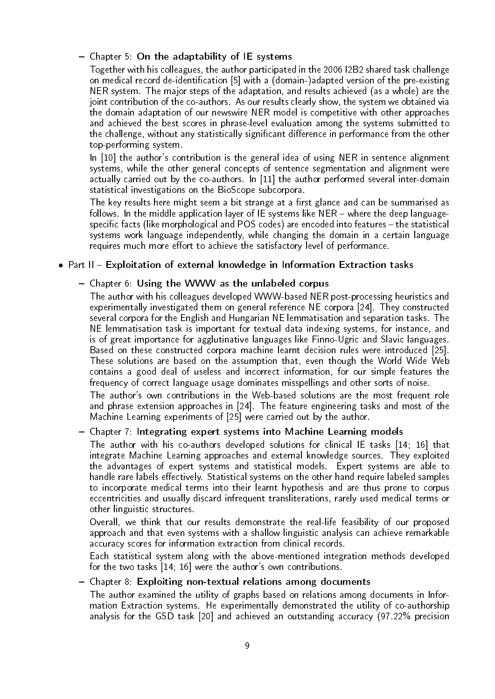#### - Chapter 5: On the adaptability of IE systems

Together with his colleagues, the author participated in the 2006 I2B2 shared task challenge on medical record de-identification [5] with a (domain-)adapted version of the pre-existing NER system. The major steps of the adaptation, and results achieved (as a whole) are the joint contribution of the co-authors. As our results clearly show, the system we obtained via the domain adaptation of our newswire NER model is competitive with other approaches and achieved the best scores in phrase-level evaluation among the systems submitted to the challenge, without any statistically significant difference in performance from the other top-performing system.

In [10] the author's contribution is the general idea of using NER in sentence alignment systems, while the other general concepts of sentence segmentation and alignment were actually carried out by the co-authors. In [11] the author performed several inter-domain statistical investigations on the BioScope subcorpora.

The key results here might seem a bit strange at a first glance and can be summarised as follows. In the middle application layer of IE systems like  $NER -$  where the deep languagespecific facts (like morphological and POS codes) are encoded into features - the statistical systems work language independently, while changing the domain in a certain language requires much more effort to achieve the satisfactory level of performance.

#### • Part  $II$  – Exploitation of external knowledge in Information Extraction tasks

#### Chapter 6: Using the WWW as the unlabeled corpus

The author with his colleagues developed WWW-based NER post-processing heuristics and experimentally investigated them on general reference NE corpora [24]. They constructed several corpora for the English and Hungarian NE lemmatisation and separation tasks. The NE lemmatisation task is important for textual data indexing systems, for instance, and is of great importance for agglutinative languages like Finno-Ugric and Slavic languages. Based on these constructed corpora machine learnt decision rules were introduced [25]. These solutions are based on the assumption that, even though the World Wide Web contains a good deal of useless and incorrect information, for our simple features the frequency of correct language usage dominates misspellings and other sorts of noise.

The author's own contributions in the Web-based solutions are the most frequent role and phrase extension approaches in [24]. The feature engineering tasks and most of the Machine Learning experiments of [25] were carried out by the author.

#### - Chapter 7: Integrating expert systems into Machine Learning models

The author with his co-authors developed solutions for clinical IE tasks [14; 16] that integrate Machine Learning approaches and external knowledge sources. They exploited the advantages of expert systems and statistical models. Expert systems are able to handle rare labels effectively. Statistical systems on the other hand require labeled samples to incorporate medical terms into their learnt hypothesis and are thus prone to corpus eccentricities and usually discard infrequent transliterations, rarely used medical terms or other linguistic structures.

Overall, we think that our results demonstrate the real-life feasibility of our proposed approach and that even systems with a shallow linguistic analysis can achieve remarkable accuracy scores for information extraction from clinical records.

Each statistical system along with the above-mentioned integration methods developed for the two tasks [14; 16] were the author's own contributions.

#### Chapter 8: Exploiting non-textual relations among documents

The author examined the utility of graphs based on relations among documents in Information Extraction systems. He experimentally demonstrated the utility of co-authorship analysis for the GSD task [20] and achieved an outstanding accuracy (97.22% precision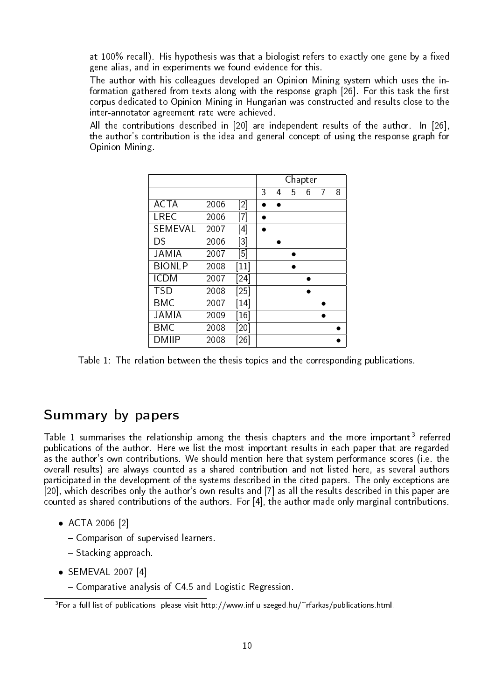at 100% recall). His hypothesis was that a biologist refers to exactly one gene by a fixed gene alias, and in experiments we found evidence for this.

The author with his colleagues developed an Opinion Mining system which uses the information gathered from texts along with the response graph [26]. For this task the first corpus dedicated to Opinion Mining in Hungarian was constructed and results close to the inter-annotator agreement rate were achieved.

All the contributions described in [20] are independent results of the author. In [26], the author's contribution is the idea and general concept of using the response graph for Opinion Mining.

|               |      |                               | Chapter |   |   |   |   |   |
|---------------|------|-------------------------------|---------|---|---|---|---|---|
|               |      |                               | 3       | 4 | 5 | 6 | 7 | 8 |
| <b>ACTA</b>   | 2006 | [2]                           |         |   |   |   |   |   |
| LREC          | 2006 | [7]                           |         |   |   |   |   |   |
| SEMEVAL       | 2007 | [4]                           |         |   |   |   |   |   |
| DS            | 2006 | [3]                           |         |   |   |   |   |   |
| JAMIA         | 2007 | [5]                           |         |   |   |   |   |   |
| <b>BIONLP</b> | 2008 | $\left\lceil 11 \right\rceil$ |         |   |   |   |   |   |
| <b>ICDM</b>   | 2007 | $\left[ 24\right]$            |         |   |   |   |   |   |
| <b>TSD</b>    | 2008 | $\left  25\right $            |         |   |   |   |   |   |
| <b>BMC</b>    | 2007 | $\lceil 14 \rceil$            |         |   |   |   |   |   |
| <b>JAMIA</b>  | 2009 | [16]                          |         |   |   |   |   |   |
| <b>BMC</b>    | 2008 | [20]                          |         |   |   |   |   |   |
| DMIIP         | 2008 | [26]                          |         |   |   |   |   |   |

Table 1: The relation between the thesis topics and the corresponding publications.

### Summary by papers

Table 1 summarises the relationship among the thesis chapters and the more important<sup>3</sup> referred publications of the author. Here we list the most important results in each paper that are regarded as the author's own contributions. We should mention here that system performance scores (i.e. the overall results) are always counted as a shared contribution and not listed here, as several authors participated in the development of the systems described in the cited papers. The only exceptions are [20], which describes only the author's own results and [7] as all the results described in this paper are counted as shared contributions of the authors. For [4], the author made only marginal contributions.

- ACTA 2006 [2]
	- Comparison of supervised learners.
	- $-$  Stacking approach.
- SEMEVAL 2007 [4]
	- Comparative analysis of C4.5 and Logistic Regression.

 $3$  For a full list of publications, please visit http://www.inf.u-szeged.hu/~rfarkas/publications.html.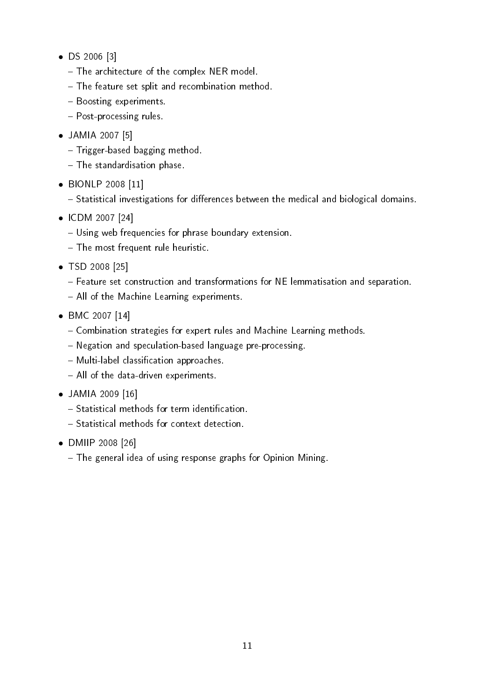- DS 2006 [3]
	- The architecture of the complex NER model.
	- The feature set split and recombination method.
	- Boosting experiments.
	- Post-processing rules.
- JAMIA 2007 [5]
	- Trigger-based bagging method.
	- The standardisation phase.
- BIONLP 2008 [11]

 $-$  Statistical investigations for differences between the medical and biological domains.

- ICDM 2007 [24]
	- Using web frequencies for phrase boundary extension.
	- The most frequent rule heuristic.
- TSD 2008 [25]
	- Feature set construction and transformations for NE lemmatisation and separation.
	- All of the Machine Learning experiments.
- BMC 2007 [14]
	- Combination strategies for expert rules and Machine Learning methods.
	- Negation and speculation-based language pre-processing.
	- Multi-label classification approaches.
	- All of the data-driven experiments.
- JAMIA 2009 [16]
	- $-$  Statistical methods for term identification.
	- Statistical methods for context detection.
- DMIIP 2008 [26]
	- The general idea of using response graphs for Opinion Mining.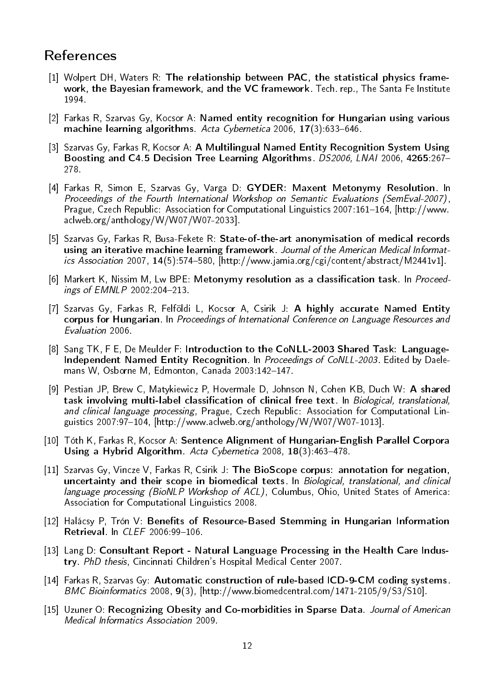## References

- [1] Wolpert DH, Waters R: The relationship between PAC, the statistical physics framework, the Bayesian framework, and the VC framework. Tech. rep., The Santa Fe Institute 1994.
- [2] Farkas R, Szarvas Gy, Kocsor A: Named entity recognition for Hungarian using various machine learning algorithms. Acta Cybernetica  $2006$ ,  $17(3)$ :633-646.
- [3] Szarvas Gy, Farkas R, Kocsor A: A Multilingual Named Entity Recognition System Using Boosting and C4.5 Decision Tree Learning Algorithms. DS2006, LNAI 2006, 4265:267-278.
- [4] Farkas R, Simon E, Szarvas Gy, Varga D: GYDER: Maxent Metonymy Resolution. In Proceedings of the Fourth International Workshop on Semantic Evaluations (SemEval-2007), Prague, Czech Republic: Association for Computational Linguistics 2007:161-164, [http://www. aclweb.org/anthology/W/W07/W07-2033].
- [5] Szarvas Gy, Farkas R, Busa-Fekete R: State-of-the-art anonymisation of medical records using an iterative machine learning framework. Journal of the American Medical Informatics Association 2007,  $14(5)$ :574-580, [http://www.jamia.org/cgi/content/abstract/M2441v1].
- [6] Markert K, Nissim M, Lw BPE: Metonymy resolution as a classification task. In Proceed $ings of EMNLP 2002:204-213.$
- [7] Szarvas Gy, Farkas R, Felföldi L, Kocsor A, Csirik J: A highly accurate Named Entity corpus for Hungarian. In Proceedings of International Conference on Language Resources and Evaluation 2006.
- [8] Sang TK, F E, De Meulder F: Introduction to the CoNLL-2003 Shared Task: Language-Independent Named Entity Recognition. In Proceedings of CoNLL-2003. Edited by Daelemans W, Osborne M, Edmonton, Canada 2003:142-147.
- [9] Pestian JP, Brew C, Matykiewicz P, Hovermale D, Johnson N, Cohen KB, Duch W: A shared task involving multi-label classification of clinical free text. In Biological, translational, and clinical language processing, Prague, Czech Republic: Association for Computational Linguistics 2007:97-104,  $[http://www.aclweb.org/anthology/W/W07/W07-1013]$ .
- [10] Tóth K, Farkas R, Kocsor A: Sentence Alignment of Hungarian-English Parallel Corpora Using a Hybrid Algorithm. Acta Cybernetica 2008,  $18(3)$ : 463-478.
- [11] Szarvas Gy, Vincze V, Farkas R, Csirik J: The BioScope corpus: annotation for negation, uncertainty and their scope in biomedical texts. In Biological, translational, and clinical language processing (BioNLP Workshop of ACL), Columbus, Ohio, United States of America: Association for Computational Linguistics 2008.
- [12] Halácsy P, Trón V: Benefits of Resource-Based Stemming in Hungarian Information Retrieval. In *CLEF* 2006:99-106.
- [13] Lang D: Consultant Report Natural Language Processing in the Health Care Industry. PhD thesis, Cincinnati Children's Hospital Medical Center 2007.
- [14] Farkas R, Szarvas Gy: Automatic construction of rule-based ICD-9-CM coding systems. BMC Bioinformatics 2008, 9(3), [http://www.biomedcentral.com/1471-2105/9/S3/S10].
- [15] Uzuner O: Recognizing Obesity and Co-morbidities in Sparse Data. Journal of American Medical Informatics Association 2009.